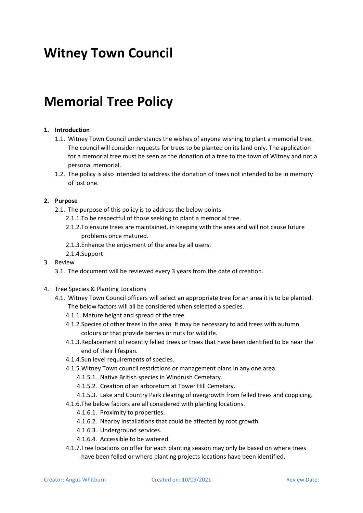# **Witney Town Council**

## **Memorial Tree Policy**

### **1. Introduction**

- 1.1. Witney Town Council understands the wishes of anyone wishing to plant a memorial tree. The council will consider requests for trees to be planted on its land only. The application for a memorial tree must be seen as the donation of a tree to the town of Witney and not a personal memorial.
- 1.2. The policy is also intended to address the donation of trees not intended to be in memory of lost one.

#### **2. Purpose**

- 2.1. The purpose of this policy is to address the below points.
	- 2.1.1.To be respectful of those seeking to plant a memorial tree.
	- 2.1.2.To ensure trees are maintained, in keeping with the area and will not cause future problems once matured.
	- 2.1.3.Enhance the enjoyment of the area by all users.
	- 2.1.4.Support
- 3. Review
	- 3.1. The document will be reviewed every 3 years from the date of creation.
- 4. Tree Species & Planting Locations
	- 4.1. Witney Town Council officers will select an appropriate tree for an area it is to be planted. The below factors will all be considered when selected a species.
		- 4.1.1. Mature height and spread of the tree.
		- 4.1.2.Species of other trees in the area. It may be necessary to add trees with autumn colours or that provide berries or nuts for wildlife.
		- 4.1.3.Replacement of recently felled trees or trees that have been identified to be near the end of their lifespan.
		- 4.1.4.Sun level requirements of species.
		- 4.1.5.Witney Town council restrictions or management plans in any one area.
			- 4.1.5.1. Native British species in Windrush Cemetary.
			- 4.1.5.2. Creation of an arboretum at Tower Hill Cemetary.
		- 4.1.5.3. Lake and Country Park clearing of overgrowth from felled trees and coppicing.
		- 4.1.6.The below factors are all considered with planting locations.
			- 4.1.6.1. Proximity to properties.
			- 4.1.6.2. Nearby installations that could be affected by root growth.
			- 4.1.6.3. Underground services.
			- 4.1.6.4. Accessible to be watered.
		- 4.1.7.Tree locations on offer for each planting season may only be based on where trees have been felled or where planting projects locations have been identified.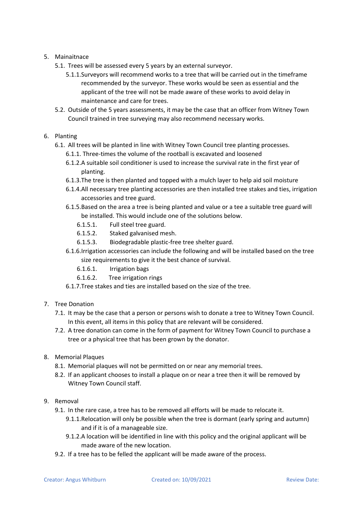### 5. Mainaitnace

- 5.1. Trees will be assessed every 5 years by an external surveyor.
	- 5.1.1.Surveyors will recommend works to a tree that will be carried out in the timeframe recommended by the surveyor. These works would be seen as essential and the applicant of the tree will not be made aware of these works to avoid delay in maintenance and care for trees.
- 5.2. Outside of the 5 years assessments, it may be the case that an officer from Witney Town Council trained in tree surveying may also recommend necessary works.
- 6. Planting
	- 6.1. All trees will be planted in line with Witney Town Council tree planting processes.
		- 6.1.1. Three-times the volume of the rootball is excavated and loosened
		- 6.1.2.A suitable soil conditioner is used to increase the survival rate in the first year of planting.
		- 6.1.3.The tree is then planted and topped with a mulch layer to help aid soil moisture
		- 6.1.4.All necessary tree planting accessories are then installed tree stakes and ties, irrigation accessories and tree guard.
		- 6.1.5.Based on the area a tree is being planted and value or a tee a suitable tree guard will be installed. This would include one of the solutions below.
			- 6.1.5.1. Full steel tree guard.
			- 6.1.5.2. Staked galvanised mesh.
			- 6.1.5.3. Biodegradable plastic-free tree shelter guard.
		- 6.1.6.Irrigation accessories can include the following and will be installed based on the tree size requirements to give it the best chance of survival.
			- 6.1.6.1. Irrigation bags
			- 6.1.6.2. Tree irrigation rings
		- 6.1.7.Tree stakes and ties are installed based on the size of the tree.
- 7. Tree Donation
	- 7.1. It may be the case that a person or persons wish to donate a tree to Witney Town Council. In this event, all items in this policy that are relevant will be considered.
	- 7.2. A tree donation can come in the form of payment for Witney Town Council to purchase a tree or a physical tree that has been grown by the donator.
- 8. Memorial Plaques
	- 8.1. Memorial plaques will not be permitted on or near any memorial trees.
	- 8.2. If an applicant chooses to install a plaque on or near a tree then it will be removed by Witney Town Council staff.
- 9. Removal
	- 9.1. In the rare case, a tree has to be removed all efforts will be made to relocate it.
		- 9.1.1.Relocation will only be possible when the tree is dormant (early spring and autumn) and if it is of a manageable size.
		- 9.1.2.A location will be identified in line with this policy and the original applicant will be made aware of the new location.
	- 9.2. If a tree has to be felled the applicant will be made aware of the process.